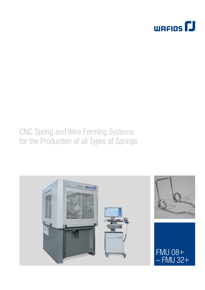

# **CNC Spring and Wire Forming Systems** for the Production of all Types of Springs

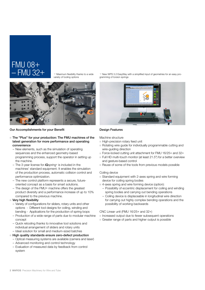### FMU 08+ – FMU 32+

 $\nabla$  Maximum flexibility thanks to a wide variety of tooling options



### Our Accomplishments for your Benefit

- The "Plus" for your production: The FMU machines of the latest generation for more performance and operating convenience
	- New elements, such as the simulation of operating sequences and the enhanced geometry-based programming process, support the operator in setting up the machine.
	- The 3-year license for *iQspring*+ is included in the machines' standard equipment. It enables the simulation of the production process, automatic collision control and performance optimization.
	- The new control platform represents a secure, futureoriented concept as a basis for smart solutions.
	- The design of the FMU+ machine offers the greatest product diversity and a performance increase of up to 10% compared to the previous machine.
- $\blacksquare$  Very high flexibility
	- Variety of configurations for sliders, rotary units and other options - Different tool designs for coiling, winding and bending - Applications for the production of spring loops
	- Production of a wide range of parts due to modular machine concept
	- Quick retooling thanks to innovative tool solutions and individual arrangement of sliders and rotary units – Ideal solution for small and medium-sized batches
- High quality standards ensure zero-defect production
- Optical measuring systems are available (camera and laser)
- Advanced monitoring and control technology
- Evaluation of measured data by feedback from control system

 $\nabla$  New WPS 3.2 EasyWay with a simplified input of geometries for an easy programming of torsion springs



### Design Features

Machine structure

- **High-precision rotary feed unit**
- Rotating wire guide for individually programmable cutting and wire-guiding direction
- Force-locked cutting unit attachment for FMU 16/25+ and 32+
- Full HD multi-touch monitor (at least 21.5") for a better overview and gesture-based control
- Reuse of some of the tools from previous models possible

### Coiling device

- Standard equipment with 2-axes spring and wire forming device for coiling spring bodies
- 4-axes spring and wire forming device (option):
- Possibility of eccentric displacement for coiling and winding spring bodies and carrying out bending operations
- Coiling device is displaceable in longitudinal wire direction for carrying out highly complex bending operations and the possibility of working backwards

### CNC Linear unit (FMU 16/25+ and 32+)

- Increased output due to fewer subsequent operations
- Greater range of parts and higher output is possible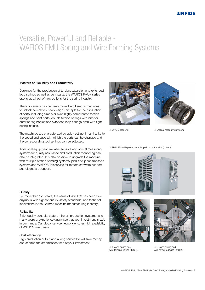# Versatile, Powerful and Reliable - WAFIOS FMU Spring and Wire Forming Systems

### Masters of Flexibility and Productivity

Designed for the production of torsion, extension and extended loop springs as well as bent parts, the WAFIOS FMU+ series opens up a host of new options for the spring industry.

The tool carriers can be freely moved in different dimensions to unlock completely new design concepts for the production of parts, including simple or even highly complicated torsion springs and bent parts, double torsion springs with inner or outer spring bodies and extended loop springs even with tight spring indices.

The machines are characterized by quick set-up times thanks to the speed and ease with which the parts can be changed and the corresponding tool settings can be adjusted.

Additional equipment like laser sensors and optical measuring systems for quality assurance and production monitoring can also be integrated. It is also possible to upgrade the machine with multiple-station bending systems, pick-and-place transport systems and WAFIOS Teleservice for remote software support and diagnostic support.

#### **Quality**

For more than 125 years, the name of WAFIOS has been synonymous with highest quality, safety standards, and technical innovations in the German machine manufacturing industry.

#### **Reliability**

Strict quality controls, state-of-the-art production systems, and many years of experience guarantee that your investment is safe in our hands. Our global service network ensures high availability of WAFIOS machinery.

### Cost efficiency

High production output and a long service life will save money and shorten the amortization time of your investment.





**A** CNC Linear unit **COL**inear unit

FMU 32+ with protective roll-up door on the side (option)





4-Axes spring and wire forming device FMU 16+



12-Axes spring and wire forming device FMU 25+